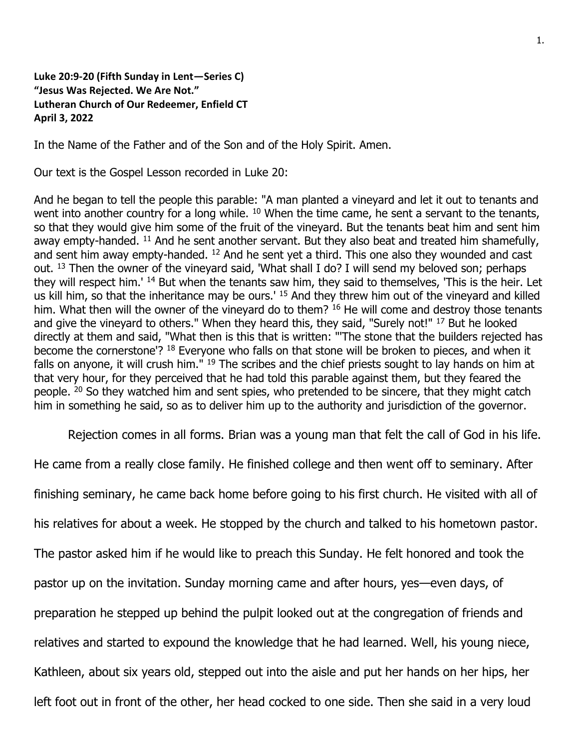**Luke 20:9-20 (Fifth Sunday in Lent—Series C) "Jesus Was Rejected. We Are Not." Lutheran Church of Our Redeemer, Enfield CT April 3, 2022**

In the Name of the Father and of the Son and of the Holy Spirit. Amen.

Our text is the Gospel Lesson recorded in Luke 20:

And he began to tell the people this parable: "A man planted a vineyard and let it out to tenants and went into another country for a long while. <sup>10</sup> When the time came, he sent a servant to the tenants, so that they would give him some of the fruit of the vineyard. But the tenants beat him and sent him away empty-handed. <sup>11</sup> And he sent another servant. But they also beat and treated him shamefully, and sent him away empty-handed.  $12$  And he sent yet a third. This one also they wounded and cast out. <sup>13</sup> Then the owner of the vineyard said, 'What shall I do? I will send my beloved son; perhaps they will respect him.<sup>' 14</sup> But when the tenants saw him, they said to themselves, 'This is the heir. Let us kill him, so that the inheritance may be ours.' <sup>15</sup> And they threw him out of the vineyard and killed him. What then will the owner of the vineyard do to them? <sup>16</sup> He will come and destroy those tenants and give the vineyard to others." When they heard this, they said, "Surely not!" <sup>17</sup> But he looked directly at them and said, "What then is this that is written: "'The stone that the builders rejected has become the cornerstone'? <sup>18</sup> Everyone who falls on that stone will be broken to pieces, and when it falls on anyone, it will crush him." <sup>19</sup> The scribes and the chief priests sought to lay hands on him at that very hour, for they perceived that he had told this parable against them, but they feared the people. <sup>20</sup> So they watched him and sent spies, who pretended to be sincere, that they might catch him in something he said, so as to deliver him up to the authority and jurisdiction of the governor.

Rejection comes in all forms. Brian was a young man that felt the call of God in his life.

He came from a really close family. He finished college and then went off to seminary. After finishing seminary, he came back home before going to his first church. He visited with all of his relatives for about a week. He stopped by the church and talked to his hometown pastor. The pastor asked him if he would like to preach this Sunday. He felt honored and took the pastor up on the invitation. Sunday morning came and after hours, yes—even days, of preparation he stepped up behind the pulpit looked out at the congregation of friends and relatives and started to expound the knowledge that he had learned. Well, his young niece, Kathleen, about six years old, stepped out into the aisle and put her hands on her hips, her left foot out in front of the other, her head cocked to one side. Then she said in a very loud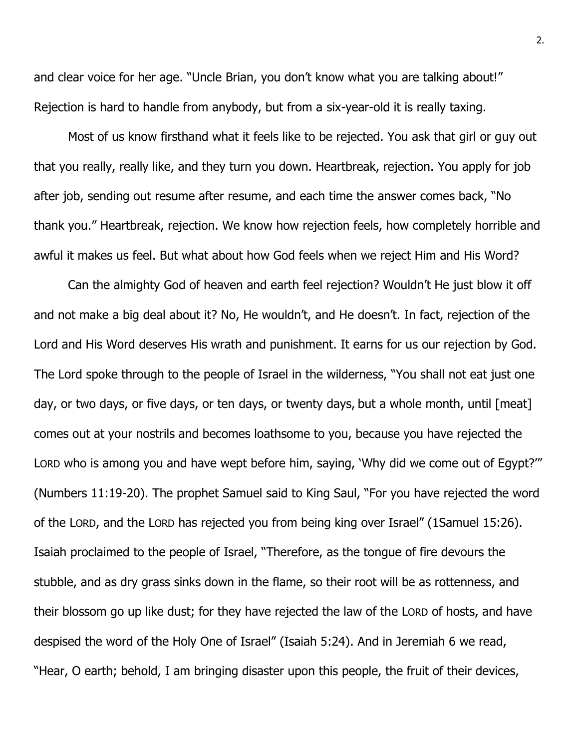and clear voice for her age. "Uncle Brian, you don't know what you are talking about!" Rejection is hard to handle from anybody, but from a six-year-old it is really taxing.

Most of us know firsthand what it feels like to be rejected. You ask that girl or guy out that you really, really like, and they turn you down. Heartbreak, rejection. You apply for job after job, sending out resume after resume, and each time the answer comes back, "No thank you." Heartbreak, rejection. We know how rejection feels, how completely horrible and awful it makes us feel. But what about how God feels when we reject Him and His Word?

Can the almighty God of heaven and earth feel rejection? Wouldn't He just blow it off and not make a big deal about it? No, He wouldn't, and He doesn't. In fact, rejection of the Lord and His Word deserves His wrath and punishment. It earns for us our rejection by God. The Lord spoke through to the people of Israel in the wilderness, "You shall not eat just one day, or two days, or five days, or ten days, or twenty days, but a whole month, until [meat] comes out at your nostrils and becomes loathsome to you, because you have rejected the LORD who is among you and have wept before him, saying, 'Why did we come out of Egypt?'" (Numbers 11:19-20). The prophet Samuel said to King Saul, "For you have rejected the word of the LORD, and the LORD has rejected you from being king over Israel" (1Samuel 15:26). Isaiah proclaimed to the people of Israel, "Therefore, as the tongue of fire devours the stubble, and as dry grass sinks down in the flame, so their root will be as rottenness, and their blossom go up like dust; for they have rejected the law of the LORD of hosts, and have despised the word of the Holy One of Israel" (Isaiah 5:24). And in Jeremiah 6 we read, "Hear, O earth; behold, I am bringing disaster upon this people, the fruit of their devices,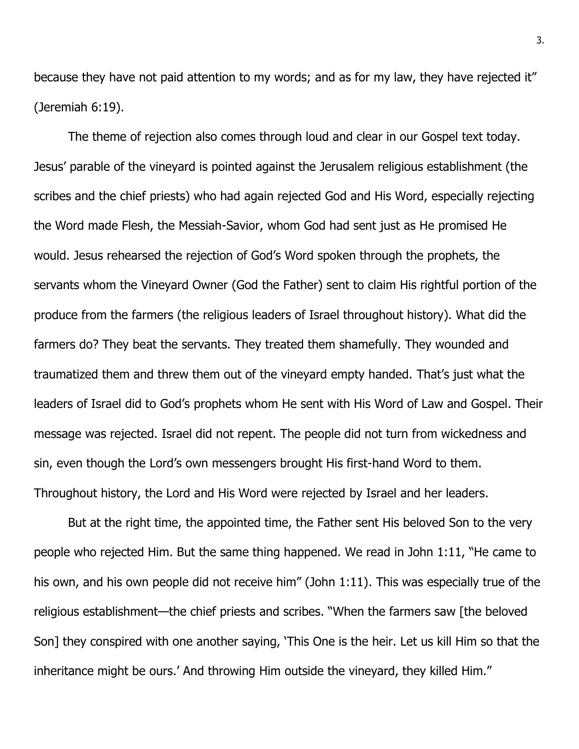because they have not paid attention to my words; and as for my law, they have rejected it" (Jeremiah 6:19).

The theme of rejection also comes through loud and clear in our Gospel text today. Jesus' parable of the vineyard is pointed against the Jerusalem religious establishment (the scribes and the chief priests) who had again rejected God and His Word, especially rejecting the Word made Flesh, the Messiah-Savior, whom God had sent just as He promised He would. Jesus rehearsed the rejection of God's Word spoken through the prophets, the servants whom the Vineyard Owner (God the Father) sent to claim His rightful portion of the produce from the farmers (the religious leaders of Israel throughout history). What did the farmers do? They beat the servants. They treated them shamefully. They wounded and traumatized them and threw them out of the vineyard empty handed. That's just what the leaders of Israel did to God's prophets whom He sent with His Word of Law and Gospel. Their message was rejected. Israel did not repent. The people did not turn from wickedness and sin, even though the Lord's own messengers brought His first-hand Word to them. Throughout history, the Lord and His Word were rejected by Israel and her leaders.

But at the right time, the appointed time, the Father sent His beloved Son to the very people who rejected Him. But the same thing happened. We read in John 1:11, "He came to his own, and his own people did not receive him" (John 1:11). This was especially true of the religious establishment—the chief priests and scribes. "When the farmers saw [the beloved Son] they conspired with one another saying, 'This One is the heir. Let us kill Him so that the inheritance might be ours.' And throwing Him outside the vineyard, they killed Him."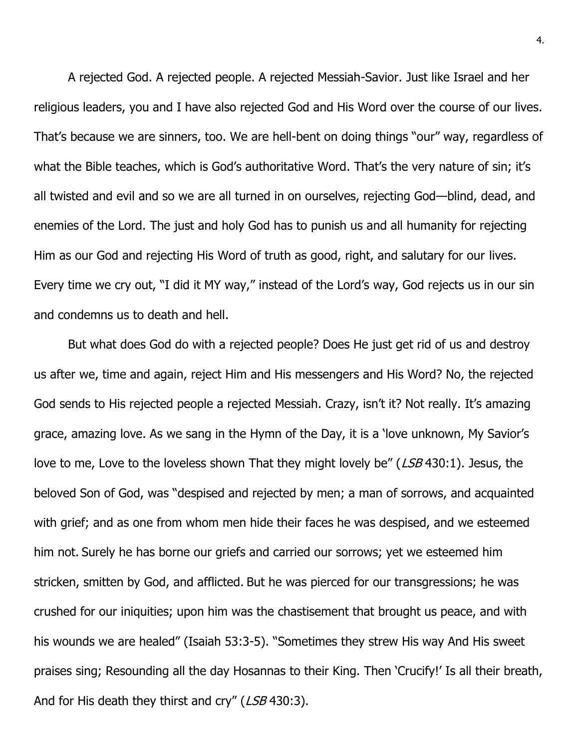A rejected God. A rejected people. A rejected Messiah-Savior. Just like Israel and her religious leaders, you and I have also rejected God and His Word over the course of our lives. That's because we are sinners, too. We are hell-bent on doing things "our" way, regardless of what the Bible teaches, which is God's authoritative Word. That's the very nature of sin; it's all twisted and evil and so we are all turned in on ourselves, rejecting God—blind, dead, and enemies of the Lord. The just and holy God has to punish us and all humanity for rejecting Him as our God and rejecting His Word of truth as good, right, and salutary for our lives. Every time we cry out, "I did it MY way," instead of the Lord's way, God rejects us in our sin and condemns us to death and hell.

But what does God do with a rejected people? Does He just get rid of us and destroy us after we, time and again, reject Him and His messengers and His Word? No, the rejected God sends to His rejected people a rejected Messiah. Crazy, isn't it? Not really. It's amazing grace, amazing love. As we sang in the Hymn of the Day, it is a 'love unknown, My Savior's love to me, Love to the loveless shown That they might lovely be" (LSB 430:1). Jesus, the beloved Son of God, was "despised and rejected by men; a man of sorrows, and acquainted with grief; and as one from whom men hide their faces he was despised, and we esteemed him not. Surely he has borne our griefs and carried our sorrows; yet we esteemed him stricken, smitten by God, and afflicted. But he was pierced for our transgressions; he was crushed for our iniquities; upon him was the chastisement that brought us peace, and with his wounds we are healed" (Isaiah 53:3-5). "Sometimes they strew His way And His sweet praises sing; Resounding all the day Hosannas to their King. Then 'Crucify!' Is all their breath, And for His death they thirst and cry" (LSB 430:3).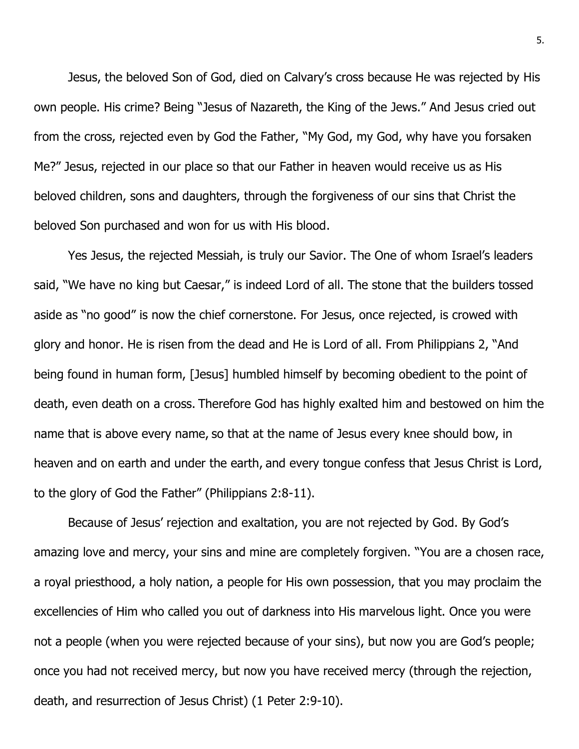Jesus, the beloved Son of God, died on Calvary's cross because He was rejected by His own people. His crime? Being "Jesus of Nazareth, the King of the Jews." And Jesus cried out from the cross, rejected even by God the Father, "My God, my God, why have you forsaken Me?" Jesus, rejected in our place so that our Father in heaven would receive us as His beloved children, sons and daughters, through the forgiveness of our sins that Christ the beloved Son purchased and won for us with His blood.

Yes Jesus, the rejected Messiah, is truly our Savior. The One of whom Israel's leaders said, "We have no king but Caesar," is indeed Lord of all. The stone that the builders tossed aside as "no good" is now the chief cornerstone. For Jesus, once rejected, is crowed with glory and honor. He is risen from the dead and He is Lord of all. From Philippians 2, "And being found in human form, [Jesus] humbled himself by becoming obedient to the point of death, even death on a cross. Therefore God has highly exalted him and bestowed on him the name that is above every name, so that at the name of Jesus every knee should bow, in heaven and on earth and under the earth, and every tongue confess that Jesus Christ is Lord, to the glory of God the Father" (Philippians 2:8-11).

Because of Jesus' rejection and exaltation, you are not rejected by God. By God's amazing love and mercy, your sins and mine are completely forgiven. "You are a chosen race, a royal priesthood, a holy nation, a people for His own possession, that you may proclaim the excellencies of Him who called you out of darkness into His marvelous light. Once you were not a people (when you were rejected because of your sins), but now you are God's people; once you had not received mercy, but now you have received mercy (through the rejection, death, and resurrection of Jesus Christ) (1 Peter 2:9-10).